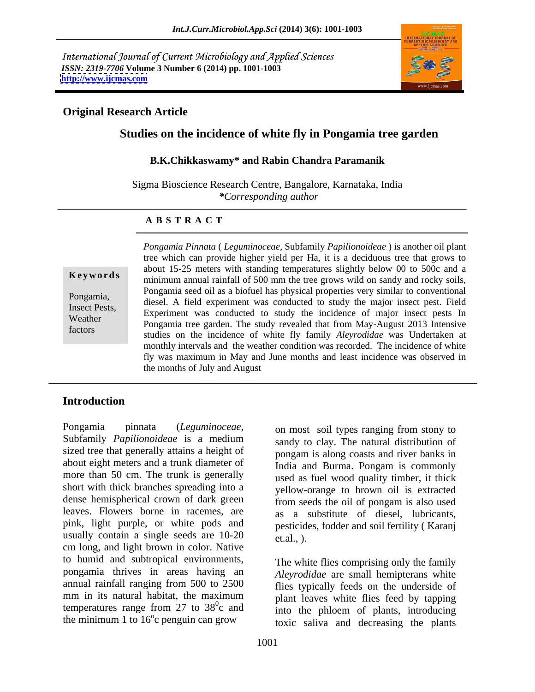International Journal of Current Microbiology and Applied Sciences *ISSN: 2319-7706* **Volume 3 Number 6 (2014) pp. 1001-1003 <http://www.ijcmas.com>**



# **Original Research Article**

# **Studies on the incidence of white fly in Pongamia tree garden**

### **B.K.Chikkaswamy\* and Rabin Chandra Paramanik**

Sigma Bioscience Research Centre, Bangalore, Karnataka, India *\*Corresponding author* 

### **A B S T R A C T**

**Keywords** minimum annual rainfall of 500 mm the tree grows wild on sandy and rocky soils, Pongamia,<br>
diesel. A field experiment was conducted to study the major insect pest. Field Insect Pests,<br>
Experiment was conducted to study the incidence of major insect pest. I left<br>
Experiment was conducted to study the incidence of major insect pests In Weather **Experiment was conducted to study the incidence** of halof insect pests in Pongamia tree garden. The study revealed that from May-August 2013 Intensive factors studies on the incidence of whitefly family *Aleyrodidae* was Undertaken at *Pongamia Pinnata* ( *Leguminoceae,* Subfamily *Papilionoideae* ) is another oil plant tree which can provide higher yield per Ha, it is a deciduous tree that grows to about 15-25 meters with standing temperatures slightly below 00 to 500c and a Pongamia seed oil as a biofuel has physical properties very similar to conventional monthly intervals and the weather condition was recorded. The incidence of white fly was maximum in May and June months and least incidence was observed in the months of July and August

## **Introduction**

Pongamia pinnata (*Leguminoceae,* on most soil types ranging from stony to Subfamily *Papilionoideae* is a medium sized tree that generally attains a height of about eight meters and a trunk diameter of India and Burma. Pongam is commonly more than 50 cm. The trunk is generally short with thick branches spreading into a dense hemispherical crown of dark green leaves. Flowers borne in racemes, are pink, light purple, or white pods and usually contain a single seeds are  $10-20$  et.al.,  $\theta$ . cm long, and light brown in color. Native to humid and subtropical environments, pongamia thrives in areas having an annual rainfall ranging from 500 to 2500 flies typically feeds on the underside of mm in its natural habitat, the maximum blant leaves white flies feed by tanning temperatures range from 27 to  $38^\circ$ c and

sandy to clay. The natural distribution of pongam is along coasts and river banks in used as fuel wood quality timber, it thick yellow-orange to brown oil is extracted from seeds the oil of pongam is also used as a substitute of diesel, lubricants, pesticides, fodder and soil fertility ( Karanj et.al., ).

 $^{0}$  and  $^{0}$  plant featers while the steed by tapping c and into the phloem of plants, introducing the minimum 1 to 16 c penguin can grow toxic saliva and decreasing the plants <sup>0</sup> conguin can grow The white flies comprising only the family *Aleyrodidae* are small hemipterans white plant leaves white flies feed by tapping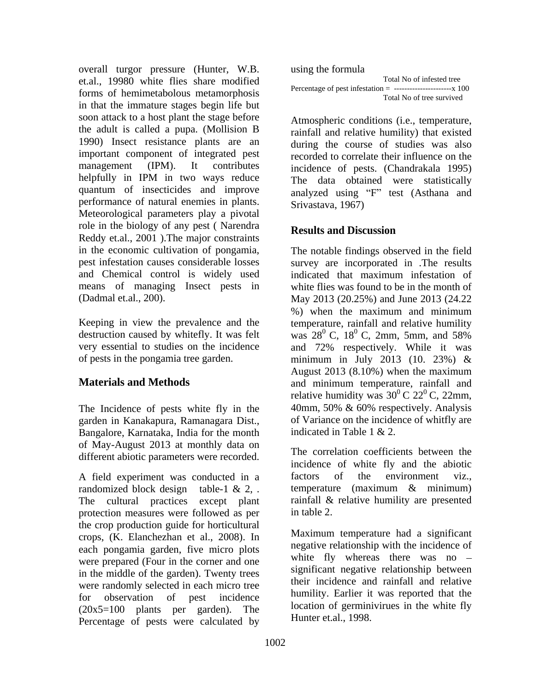overall turgor pressure (Hunter, W.B. et.al., 19980 white flies share modified forms of hemimetabolous metamorphosis<br>Total No of tree survived in that the immature stages begin life but soon attack to a host plant the stage before the adult is called a pupa. (Mollision B 1990) Insect resistance plants are an important component of integrated pest management (IPM). It contributes incidence of pests. (Chandrakala 1995) helpfully in IPM in two ways reduce quantum of insecticides and improve performance of natural enemies in plants. Meteorological parameters play a pivotal role in the biology of any pest (Narendra<br>Results and Discussion Reddy et.al., 2001 ).The major constraints in the economic cultivation of pongamia, pest infestation causes considerable losses survey are incorporated in .The results and Chemical control is widely used indicated that maximum infestation of means of managing Insect pests in

very essential to studies on the incidence and 72% respectively. While it was

The Incidence of pests white fly in the  $40$ mm, 50% & 60% respectively. Analysis garden in Kanakapura, Ramanagara Dist., Bangalore, Karnataka, India for the month of May-August 2013 at monthly data on different abiotic parameters were recorded.

A field experiment was conducted in a factors of the environment viz., randomized block design table-1 & 2, . temperature (maximum & minimum) The cultural practices except plant rainfall & relative humility are presented protection measures were followed as per the crop production guide for horticultural crops, (K. Elanchezhan et al., 2008). In each pongamia garden, five micro plots were prepared (Four in the corner and one in the middle of the garden). Twenty trees were randomly selected in each micro tree (20x5=100 plants per garden). The Percentage of pests were calculated by

using the formula Percentage of pest infestation  $=$  ---------------------------- x 100 Total No of tree survived

Atmospheric conditions (i.e., temperature, rainfall and relative humility) that existed during the course of studies was also recorded to correlate their influence on the The data obtained were statistically analyzed using "F" test (Asthana and Srivastava, 1967)

# **Results and Discussion**

(Dadmal et.al., 200). May 2013 (20.25%) and June 2013 (24.22 Keeping in view the prevalence and the temperature, rainfall and relative humility destruction caused by whitefly. It was felt was  $28^{\circ}$  C,  $18^{\circ}$  C,  $2 \text{mm}$ ,  $5 \text{mm}$ , and  $58\%$ of pests in the pongamia tree garden. minimum in July 2013 (10. 23%) & **Materials and Methods** and minimum temperature, rainfall and minimum The notable findings observed in the field indicated that maximum infestation of white flies was found to be in the month of %) when the maximum and minimum  $^{0}$  C, 2mm, 5mm, and 58% and 72% respectively. While it was August 2013 (8.10%) when the maximum relative humidity was  $30^{\circ}$  C  $22^{\circ}$  C, 22mm,  ${}^{0}$  C 22<sup>0</sup> C, 22mm,  $^{0}$  C, 22mm, 40mm, 50% & 60% respectively. Analysis of Variance on the incidence of whitfly are indicated in Table 1 & 2.

> The correlation coefficients between the incidence of white fly and the abiotic factors of the environment viz., temperature (maximum & minimum) in table 2.

for observation of pest incidence huminity. Earlier it was reported that the Maximum temperature had a significant negative relationship with the incidence of white fly whereas there was no significant negative relationship between their incidence and rainfall and relative humility. Earlier it was reported that the location of germinivirues in the white fly Hunter et.al., 1998.